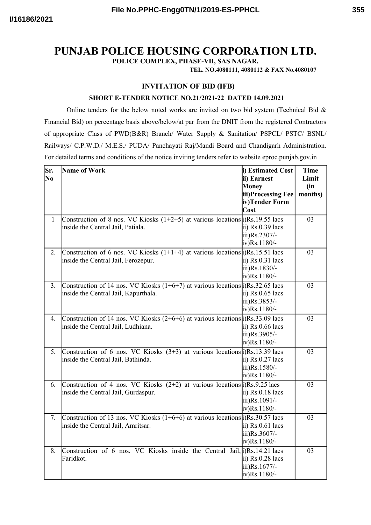# **PUNJAB POLICE HOUSING CORPORATION LTD.**

**POLICE COMPLEX, PHASE-VII, SAS NAGAR.**

**TEL. NO.4080111, 4080112 & FAX No.4080107**

## **INVITATION OF BID (IFB)**

#### **SHORT E-TENDER NOTICE NO.21/2021-22 DATED 14.09.2021**

Online tenders for the below noted works are invited on two bid system (Technical Bid  $\&$ Financial Bid) on percentage basis above/below/at par from the DNIT from the registered Contractors of appropriate Class of PWD(B&R) Branch/ Water Supply & Sanitation/ PSPCL/ PSTC/ BSNL/ Railways/ C.P.W.D./ M.E.S./ PUDA/ Panchayati Raj/Mandi Board and Chandigarh Administration. For detailed terms and conditions of the notice inviting tenders refer to website eproc.punjab.gov.in

| Sr.<br>N <sub>0</sub> | Name of Work                                                                                                                            | i) Estimated Cost<br>ii) Earnest<br>Money<br>iii)Processing Fee<br>iv)Tender Form<br>Cost | <b>Time</b><br>Limit<br>(in)<br>months) |
|-----------------------|-----------------------------------------------------------------------------------------------------------------------------------------|-------------------------------------------------------------------------------------------|-----------------------------------------|
| $\mathbf{1}$          | Construction of 8 nos. VC Kiosks $(1+2+5)$ at various locations $\frac{1}{2}$ )Rs. 19.55 lacs<br>inside the Central Jail, Patiala.      | $\overline{ii}$ ) Rs.0.39 lacs<br>iii)Rs.2307/-<br>$iv)$ Rs. 1180/-                       | 03                                      |
| 2.                    | Construction of 6 nos. VC Kiosks $(1+1+4)$ at various locations $\frac{1}{2}$ )Rs. 15.51 lacs<br>inside the Central Jail, Ferozepur.    | $\overline{ii}$ ) Rs.0.31 lacs<br>iii)Rs.1830/-<br>$iv)$ Rs. 1180/-                       | 03                                      |
| 3.                    | Construction of 14 nos. VC Kiosks $(1+6+7)$ at various locations $\frac{1}{8}$ , Rs. 32.65 lacs<br>inside the Central Jail, Kapurthala. | $\overline{ii}$ ) Rs.0.65 lacs<br>iii)Rs.3853/-<br>$iv)$ Rs. 1180/-                       | 03                                      |
| 4.                    | Construction of 14 nos. VC Kiosks $(2+6+6)$ at various locations $\beta$ )Rs.33.09 lacs<br>inside the Central Jail, Ludhiana.           | ii) $Rs.0.66$ lacs<br>iii)Rs.3905/-<br>$iv)$ Rs. 1180/-                                   | 03                                      |
| 5.                    | Construction of 6 nos. VC Kiosks $(3+3)$ at various locations (i)Rs.13.39 lacs<br>inside the Central Jail, Bathinda.                    | ii) $Rs.0.27$ lacs<br>iii)Rs.1580/-<br>$iv)$ Rs. 1180/-                                   | 03                                      |
| 6.                    | Construction of 4 nos. VC Kiosks $(2+2)$ at various locations $\beta$ )Rs.9.25 lacs<br>inside the Central Jail, Gurdaspur.              | $\overline{ii}$ ) Rs.0.18 lacs<br>iii)Rs.1091/-<br>$iv)$ Rs. 1180/-                       | 03                                      |
| 7.                    | Construction of 13 nos. VC Kiosks $(1+6+6)$ at various locations $\frac{1}{8}$ Rs. 30.57 lacs<br>inside the Central Jail, Amritsar.     | $\overline{ii}$ ) Rs.0.61 lacs<br>iii)Rs.3607/-<br>$iv)$ Rs. 1180/-                       | 03                                      |
| 8.                    | Construction of 6 nos. VC Kiosks inside the Central Jail, $\hat{I}$ )Rs. 14.21 lacs<br>Faridkot.                                        | $\overline{a}$ i) Rs.0.28 lacs<br>iii)Rs.1677/-<br>$iv)$ Rs. 1180/-                       | 03                                      |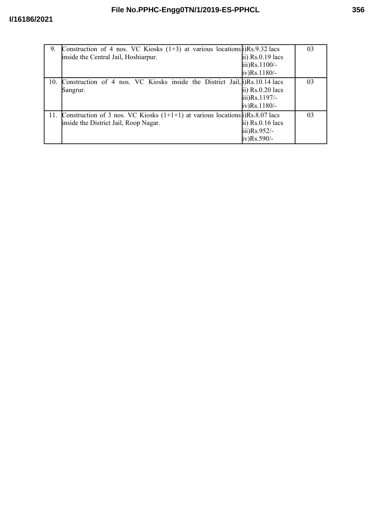| 9.  | Construction of 4 nos. VC Kiosks $(1+3)$ at various locations $\beta$ )Rs.9.32 lacs   |                               | 03 |
|-----|---------------------------------------------------------------------------------------|-------------------------------|----|
|     | inside the Central Jail, Hoshiarpur.                                                  | ii) $Rs.0.19$ lacs            |    |
|     |                                                                                       | $\text{iii)}\text{Rs}.1100/-$ |    |
|     |                                                                                       | $iv)$ Rs. 1180/-              |    |
| 10. | Construction of 4 nos. VC Kiosks inside the District Jail, [i)Rs. 10.14 lacs          |                               | 03 |
|     | Sangrur.                                                                              | ii) $Rs.0.20$ lacs            |    |
|     |                                                                                       | iii)Rs.1197/-                 |    |
|     |                                                                                       | $iv)$ Rs. 1180/-              |    |
| 11. | Construction of 3 nos. VC Kiosks $(1+1+1)$ at various locations $\beta$ )Rs.8.07 lacs |                               | 03 |
|     | inside the District Jail, Roop Nagar.                                                 | ii) $Rs.0.16$ lacs            |    |
|     |                                                                                       | iii) $Rs.952/-$               |    |
|     |                                                                                       | $iv)$ Rs.590/-                |    |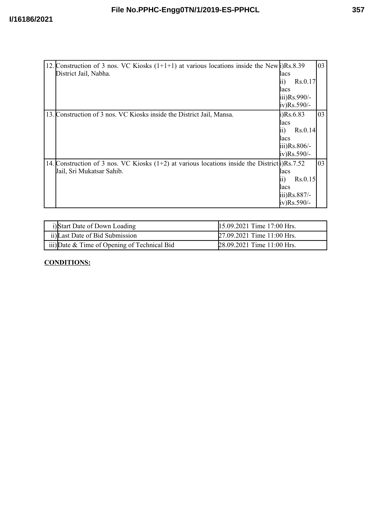| 12. Construction of 3 nos. VC Kiosks $(1+1+1)$ at various locations inside the New (i)Rs.8.39                |                              | 03 |
|--------------------------------------------------------------------------------------------------------------|------------------------------|----|
| District Jail, Nabha.                                                                                        | lacs                         |    |
|                                                                                                              | Rs.0.17                      |    |
|                                                                                                              | lacs                         |    |
|                                                                                                              | $\mu$ iii) $\text{Rs.990/-}$ |    |
|                                                                                                              | iv)Rs.590/-                  |    |
| 13. Construction of 3 nos. VC Kiosks inside the District Jail, Mansa.                                        | $i)$ Rs.6.83                 | 03 |
|                                                                                                              | lacs                         |    |
|                                                                                                              | Rs.0.14                      |    |
|                                                                                                              | lacs                         |    |
|                                                                                                              | $\overline{111}$ )Rs.806/-   |    |
|                                                                                                              | iv)Rs.590/-                  |    |
| 14. Construction of 3 nos. VC Kiosks $(1+2)$ at various locations inside the District $\hat{\beta}$ Rs. 7.52 |                              | 03 |
| Jail, Sri Mukatsar Sahib.                                                                                    | lacs                         |    |
|                                                                                                              | Rs.0.15                      |    |
|                                                                                                              | lacs                         |    |
|                                                                                                              | iii)Rs.887/-                 |    |
|                                                                                                              | iv)Rs.590/-                  |    |

| i)Start Date of Down Loading                 | 15.09.2021 Time 17:00 Hrs. |
|----------------------------------------------|----------------------------|
| ii) Last Date of Bid Submission              | 27.09.2021 Time 11:00 Hrs. |
| iii) Date & Time of Opening of Technical Bid | 28.09.2021 Time 11:00 Hrs. |

# **CONDITIONS:**